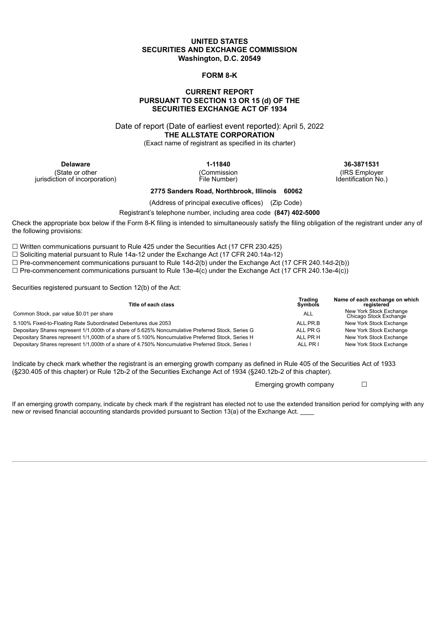#### **UNITED STATES SECURITIES AND EXCHANGE COMMISSION Washington, D.C. 20549**

#### **FORM 8-K**

# **CURRENT REPORT PURSUANT TO SECTION 13 OR 15 (d) OF THE SECURITIES EXCHANGE ACT OF 1934**

Date of report (Date of earliest event reported): April 5, 2022 **THE ALLSTATE CORPORATION** (Exact name of registrant as specified in its charter)

**Delaware 1-11840 36-3871531** (State or other jurisdiction of incorporation)

(Commission File Number)

(IRS Employer Identification No.)

#### **2775 Sanders Road, Northbrook, Illinois 60062**

(Address of principal executive offices) (Zip Code)

# Registrant's telephone number, including area code **(847) 402-5000**

Check the appropriate box below if the Form 8-K filing is intended to simultaneously satisfy the filing obligation of the registrant under any of the following provisions:

 $\Box$  Written communications pursuant to Rule 425 under the Securities Act (17 CFR 230.425)

☐ Soliciting material pursuant to Rule 14a-12 under the Exchange Act (17 CFR 240.14a-12)

 $\Box$  Pre-commencement communications pursuant to Rule 14d-2(b) under the Exchange Act (17 CFR 240.14d-2(b))

 $\Box$  Pre-commencement communications pursuant to Rule 13e-4(c) under the Exchange Act (17 CFR 240.13e-4(c))

Securities registered pursuant to Section 12(b) of the Act:

| Title of each class                                                                                | Trading<br><b>Symbols</b> | Name of each exchange on which<br>reaistered      |
|----------------------------------------------------------------------------------------------------|---------------------------|---------------------------------------------------|
| Common Stock, par value \$0.01 per share                                                           | <b>ALL</b>                | New York Stock Exchange<br>Chicago Stock Exchange |
| 5.100% Fixed-to-Floating Rate Subordinated Debentures due 2053                                     | ALL.PR.B                  | New York Stock Exchange                           |
| Depositary Shares represent 1/1,000th of a share of 5.625% Noncumulative Preferred Stock, Series G | ALL PR G                  | New York Stock Exchange                           |
| Depositary Shares represent 1/1,000th of a share of 5.100% Noncumulative Preferred Stock, Series H | ALL PR H                  | New York Stock Exchange                           |
| Depositary Shares represent 1/1,000th of a share of 4.750% Noncumulative Preferred Stock, Series I | ALL PR I                  | New York Stock Exchange                           |

Indicate by check mark whether the registrant is an emerging growth company as defined in Rule 405 of the Securities Act of 1933 (§230.405 of this chapter) or Rule 12b-2 of the Securities Exchange Act of 1934 (§240.12b-2 of this chapter).

Emerging growth company  $\Box$ 

If an emerging growth company, indicate by check mark if the registrant has elected not to use the extended transition period for complying with any new or revised financial accounting standards provided pursuant to Section 13(a) of the Exchange Act.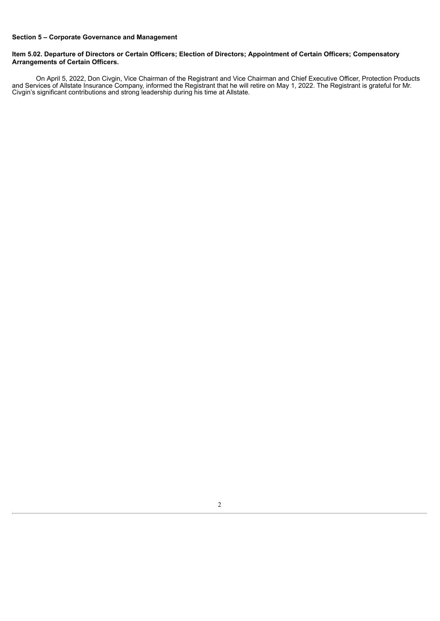# **Section 5 – Corporate Governance and Management**

### Item 5.02. Departure of Directors or Certain Officers; Election of Directors; Appointment of Certain Officers; Compensatory **Arrangements of Certain Officers.**

On April 5, 2022, Don Civgin, Vice Chairman of the Registrant and Vice Chairman and Chief Executive Officer, Protection Products and Services of Allstate Insurance Company, informed the Registrant that he will retire on May 1, 2022. The Registrant is grateful for Mr. Civgin's significant contributions and strong leadership during his time at Allstate.